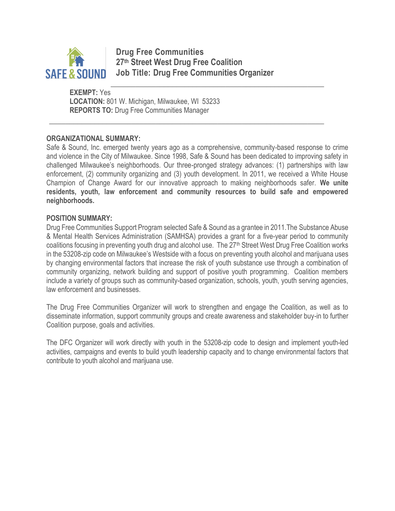

**Drug Free Communities 27th Street West Drug Free Coalition Job Title: Drug Free Communities Organizer**

\_\_\_\_\_\_\_\_\_\_\_\_\_\_\_\_\_\_\_\_\_\_\_\_\_\_\_\_\_\_\_\_\_\_\_\_\_\_\_\_\_\_\_\_\_\_\_\_\_\_\_\_\_\_\_\_\_\_\_\_\_\_\_\_\_\_\_

\_\_\_\_\_\_\_\_\_\_\_\_\_\_\_\_\_\_\_\_\_\_\_\_\_\_\_\_\_\_\_\_\_\_\_\_\_\_\_\_\_\_\_\_\_\_\_\_\_\_\_\_

**EXEMPT:** Yes **LOCATION:** 801 W. Michigan, Milwaukee, WI 53233 **REPORTS TO:** Drug Free Communities Manager

#### **ORGANIZATIONAL SUMMARY:**

Safe & Sound, Inc. emerged twenty years ago as a comprehensive, community-based response to crime and violence in the City of Milwaukee. Since 1998, Safe & Sound has been dedicated to improving safety in challenged Milwaukee's neighborhoods. Our three-pronged strategy advances: (1) partnerships with law enforcement, (2) community organizing and (3) youth development. In 2011, we received a White House Champion of Change Award for our innovative approach to making neighborhoods safer. **We unite residents, youth, law enforcement and community resources to build safe and empowered neighborhoods.**

#### **POSITION SUMMARY:**

Drug Free Communities Support Program selected Safe & Sound as a grantee in 2011.The Substance Abuse & Mental Health Services Administration (SAMHSA) provides a grant for a five-year period to community coalitions focusing in preventing youth drug and alcohol use. The 27<sup>th</sup> Street West Drug Free Coalition works in the 53208-zip code on Milwaukee's Westside with a focus on preventing youth alcohol and marijuana uses by changing environmental factors that increase the risk of youth substance use through a combination of community organizing, network building and support of positive youth programming. Coalition members include a variety of groups such as community-based organization, schools, youth, youth serving agencies, law enforcement and businesses.

The Drug Free Communities Organizer will work to strengthen and engage the Coalition, as well as to disseminate information, support community groups and create awareness and stakeholder buy-in to further Coalition purpose, goals and activities.

The DFC Organizer will work directly with youth in the 53208-zip code to design and implement youth-led activities, campaigns and events to build youth leadership capacity and to change environmental factors that contribute to youth alcohol and marijuana use.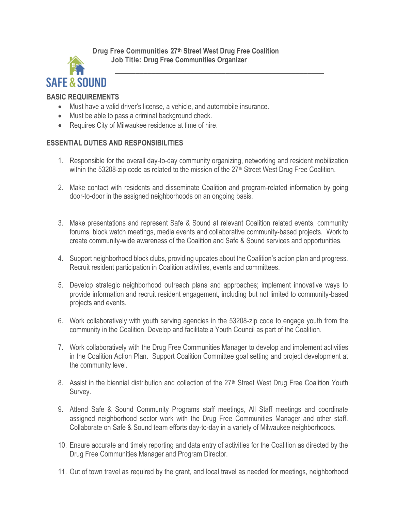**Drug Free Communities 27th Street West Drug Free Coalition Job Title: Drug Free Communities Organizer**



# **BASIC REQUIREMENTS**

- Must have a valid driver's license, a vehicle, and automobile insurance.
- Must be able to pass a criminal background check.
- Requires City of Milwaukee residence at time of hire.

# **ESSENTIAL DUTIES AND RESPONSIBILITIES**

1. Responsible for the overall day-to-day community organizing, networking and resident mobilization within the 53208-zip code as related to the mission of the 27<sup>th</sup> Street West Drug Free Coalition.

\_\_\_\_\_\_\_\_\_\_\_\_\_\_\_\_\_\_\_\_\_\_\_\_\_\_\_\_\_\_\_\_\_\_\_\_\_\_\_\_\_\_\_\_\_\_\_\_\_\_\_

- 2. Make contact with residents and disseminate Coalition and program-related information by going door-to-door in the assigned neighborhoods on an ongoing basis.
- 3. Make presentations and represent Safe & Sound at relevant Coalition related events, community forums, block watch meetings, media events and collaborative community-based projects. Work to create community-wide awareness of the Coalition and Safe & Sound services and opportunities.
- 4. Support neighborhood block clubs, providing updates about the Coalition's action plan and progress. Recruit resident participation in Coalition activities, events and committees.
- 5. Develop strategic neighborhood outreach plans and approaches; implement innovative ways to provide information and recruit resident engagement, including but not limited to community-based projects and events.
- 6. Work collaboratively with youth serving agencies in the 53208-zip code to engage youth from the community in the Coalition. Develop and facilitate a Youth Council as part of the Coalition.
- 7. Work collaboratively with the Drug Free Communities Manager to develop and implement activities in the Coalition Action Plan. Support Coalition Committee goal setting and project development at the community level.
- 8. Assist in the biennial distribution and collection of the 27<sup>th</sup> Street West Drug Free Coalition Youth Survey.
- 9. Attend Safe & Sound Community Programs staff meetings, All Staff meetings and coordinate assigned neighborhood sector work with the Drug Free Communities Manager and other staff. Collaborate on Safe & Sound team efforts day-to-day in a variety of Milwaukee neighborhoods.
- 10. Ensure accurate and timely reporting and data entry of activities for the Coalition as directed by the Drug Free Communities Manager and Program Director.
- 11. Out of town travel as required by the grant, and local travel as needed for meetings, neighborhood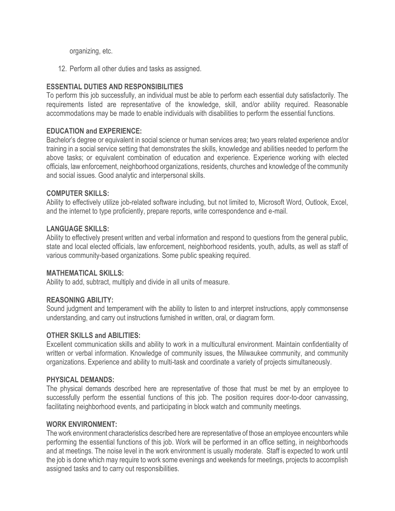organizing, etc.

12. Perform all other duties and tasks as assigned.

## **ESSENTIAL DUTIES AND RESPONSIBILITIES**

To perform this job successfully, an individual must be able to perform each essential duty satisfactorily. The requirements listed are representative of the knowledge, skill, and/or ability required. Reasonable accommodations may be made to enable individuals with disabilities to perform the essential functions.

### **EDUCATION and EXPERIENCE:**

Bachelor's degree or equivalent in social science or human services area; two years related experience and/or training in a social service setting that demonstrates the skills, knowledge and abilities needed to perform the above tasks; or equivalent combination of education and experience. Experience working with elected officials, law enforcement, neighborhood organizations, residents, churches and knowledge of the community and social issues. Good analytic and interpersonal skills.

### **COMPUTER SKILLS:**

Ability to effectively utilize job-related software including, but not limited to, Microsoft Word, Outlook, Excel, and the internet to type proficiently, prepare reports, write correspondence and e-mail.

### **LANGUAGE SKILLS:**

Ability to effectively present written and verbal information and respond to questions from the general public, state and local elected officials, law enforcement, neighborhood residents, youth, adults, as well as staff of various community-based organizations. Some public speaking required.

#### **MATHEMATICAL SKILLS:**

Ability to add, subtract, multiply and divide in all units of measure.

### **REASONING ABILITY:**

Sound judgment and temperament with the ability to listen to and interpret instructions, apply commonsense understanding, and carry out instructions furnished in written, oral, or diagram form.

### **OTHER SKILLS and ABILITIES:**

Excellent communication skills and ability to work in a multicultural environment. Maintain confidentiality of written or verbal information. Knowledge of community issues, the Milwaukee community, and community organizations. Experience and ability to multi-task and coordinate a variety of projects simultaneously.

#### **PHYSICAL DEMANDS:**

The physical demands described here are representative of those that must be met by an employee to successfully perform the essential functions of this job. The position requires door-to-door canvassing, facilitating neighborhood events, and participating in block watch and community meetings.

#### **WORK ENVIRONMENT:**

The work environment characteristics described here are representative of those an employee encounters while performing the essential functions of this job. Work will be performed in an office setting, in neighborhoods and at meetings. The noise level in the work environment is usually moderate. Staff is expected to work until the job is done which may require to work some evenings and weekends for meetings, projects to accomplish assigned tasks and to carry out responsibilities.